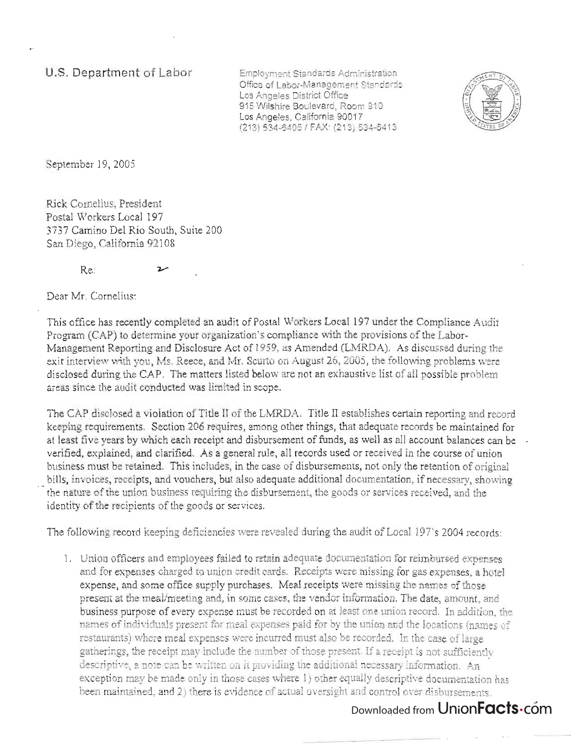**u.s. Department of Labor** 

iployment Standards Administration Office of Labor-Management Standards Los Angeles District Office 915 Wilshire Boulevard, Room 910 Los Angeles, California 90017<br>(213) 534-6405 / FAX: (213) 534-6413



September 19,2005

Rick Cornelius, President CR COMENUS, FIESIGEIR Stal WORKERS LOCAL 197  $5/$ Camino Dei Kio Soum, St

Dear Mr. Cornelius:

This office has recently completed an audit of Postal Workers Local 197 under the Compliance Audit is office has recently completed an audit or Postal Workers Local 197 under the Compliance A Program (CAP) to determine your organization's compliance with the provisions of the Labor-Management Reporting and Disclosure Act of 1959, as Amended (LMRDA). As discussed during the exit interview with you, Ms. Reece, and Mr. Scurto on August 26, 2005, the following problems were disclosed during the CAP. The matters listed below are not an exhaustive list of all possible problem areas since the audit conducted was limited in scope.

The CAP disclosed a violation of Title II of the LMRDA. Title II establishes certain reporting and record e CAP disclosed a violation of flue if of the LivikidA. This if establishes certain reporting and record keeping requirements. Section 206 requires, among other things, that adequate records be maintained for at least five years by which each receipt and disbursement of funds, as well as all account balances can be verified, explained, and clarified. As a general rule, all records used or received in the course of union business must be retained. This includes, in the case of disbursements, not only the retention of original bills, invoices, receipts, and vouchers, but also adequate additional documentation, if necessary, showing the nature of the union business requiring the disbursement, the goods or services received, and the identity of the recipients of the goods or services.

The following record keeping deficiencies were revealed during the audit of Local 197's 2004 records:

 $1.11 \times 10^{-4}$ and orificers and employees raned to retain adequate documentation for remionised expenses and for expenses charged to union credit cards. Receipts were missing for gas expenses, a hotel expense, and some office supply purchases. Meal receipts were missing the names of those present at the meal/meeting and, in some cases, the vendor information. The date, amount, and business purpose of every expense must be recorded on at least one union record. In addition, the names of individuals present for meal expenses paid for by the union and the locations (names of restaurants) where meal expenses were incurred must also be recorded. In the case of large gatherings, the receipt may include the number of those present. If a receipt is not sufficiently descriptive, a note can be written on it providing the additional necessary information. An exception may be made only in those cases where 1) other equally descriptive documentation has<br>been maintained, and 2) there is evidence of actual oversight and control over disbursements.

## Downloaded from UnionFacts.com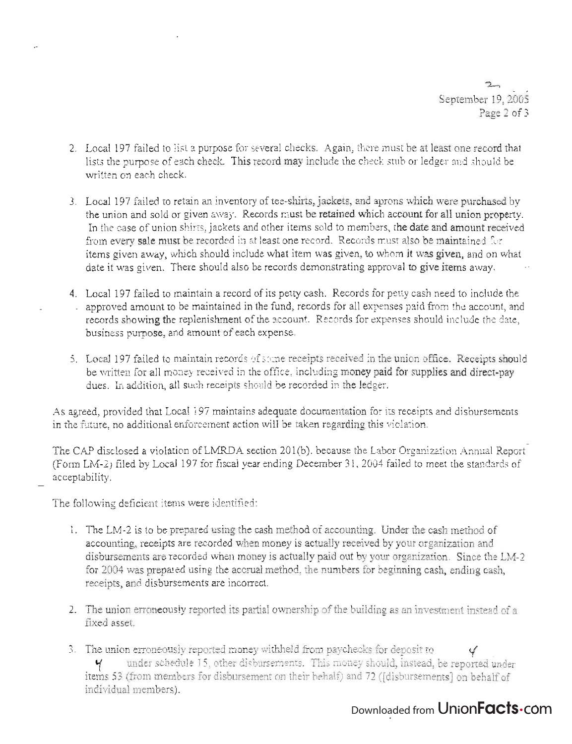$\mathcal{F}$ September 19,2005 Page 2 of 3

- 2. Local 197 failed to list a purpose for several checks. Again, there must be at least one record that  $\mu$  allied to have purpose the several checks. Again, there may be at least stubility in the check stub or ledger and should be check studies that include the check studies of the check studies of the check studies of th we die parpose of each
- 3. Local 197 failed to retain an inventory of tee-shirts, jackets, and aprons which were purchased by the union is the union and sold or given and sold or given a must be retained which are property. If the case of union shirts,  $\frac{1}{2}$  is the case of union sold to members sold to members sold to members sold to members sold to members sold to members and amount  $\frac{1}{2}$ In the case of union shirts, jackets and other items sold to members, the date and amount received<br>from every sale must be recorded in at least one record. Records must also be maintained for items given away, which should include what item was given, to whom it was given, and on what date it was given. There should also be records demonstrating approval to give items away.
- 4. Local 197 failed to maintain a record of its petty cash. Records for petty cash need to include the - appear 197 Tancular in training in touries in the fund, records for paid from the activities (include the account) proved amount to be maintained in the rund, records for an expenses para moments account, and records showing the replenishment of the account. Records for expenses should include the date, business purpose, and amount of each expense.
- 5. Local 197 failed to maintain records of some receipts received in the union office. Receipts should  $\mathbb{R}^n$  . The money received in the office, including money paid  $\mathbb{R}^n$  and  $\mathbb{R}^n$  and direct-pays and direct-pays and direct-pays and direct-pays and direct-pays and direct-pays and direct-pays and direct-pays duction, and an indeed technology in the different motivating bestead in the ledger.

 $\mathcal{A}$  agreed, provided that Local 197 maintains addeduce documentation for its receipts and disbursements and disbursements and disbursements and disbursements and disbursements and disbursements and disbursements and in the future of the future action will be taken the future of the future of the future of the future of the state of the state of the state of the state of the state of the state of the state of the state of the state of

The CAP disclosed a violation of LMRDA section 201(b), because the Labor Organization Annual Report  $\sum_{i=1}^{n}$  for  $\sum_{i=1}^{n}$  for  $\sum_{i=1}^{n}$  for finite  $\sum_{i=1}^{n}$  ,  $\sum_{i=1}^{n}$  for  $\sum_{i=1}^{n}$  for  $\sum_{i=1}^{n}$  failed to  $\sum_{i=1}^{n}$  for  $\sum_{i=1}^{n}$  for  $\sum_{i=1}^{n}$  for  $\sum_{i=1}^{n}$  for  $\sum_{i=1}^{n}$  for  $\sum_{i=$  $\frac{1}{2}$ 

The following deficient items were identified:

- 1. The LM-2 is to be prepared using the cash method of accounting. Under the cash method of accounting, received when we received an electromage. Onest me cases intended or accounting, receipts are recorded when money is actually received by your organization and<br>disbursements are recorded when money is actually paid out by your organization. Since the LM-2 for 2004 was prepared using the accrual method, the numbers for beginning cash, ending cash, receipts, and disbursements are incorrect.
- 2. The union erroneously reported its partial ovmership of the building as an investment instead of a  $\frac{4}{3}$
- ') ~h' . . . 1.-.1 1...1 £: , 1 .r.' . ) . 1. e mnon erroneOUSly reported money wltHlleJ.u 1rom paycnec.J:(S lor uePOSlt to if  $\frac{1}{2}$  union erroneously reported money withheld from paychecks for deposit to  $\frac{1}{2}$ items for disease the disputation members for disputations on the half on the final species on behalf on behalf<br>It is a second on the final species of the half of the half of the second on the half of the half of the secon individual members).

## Downloaded from UnionFacts.com